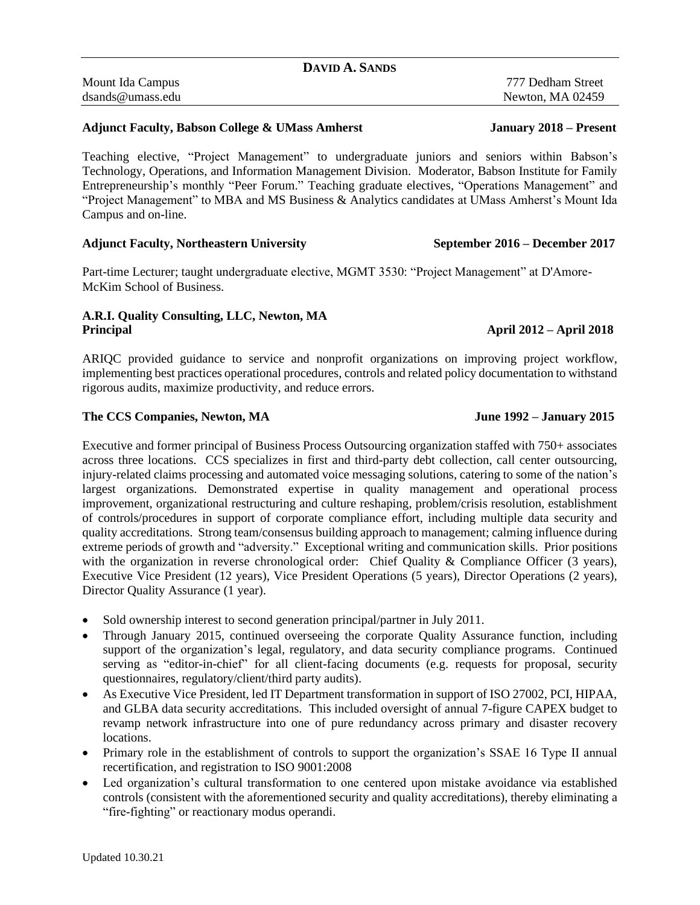Mount Ida Campus 777 Dedham Street

### **Adjunct Faculty, Babson College & UMass Amherst January 2018 – Present**

Teaching elective, "Project Management" to undergraduate juniors and seniors within Babson's Technology, Operations, and Information Management Division. Moderator, Babson Institute for Family Entrepreneurship's monthly "Peer Forum." Teaching graduate electives, "Operations Management" and "Project Management" to MBA and MS Business & Analytics candidates at UMass Amherst's Mount Ida Campus and on-line.

### **Adjunct Faculty, Northeastern University September 2016 – December 2017**

Part-time Lecturer; taught undergraduate elective, MGMT 3530: "Project Management" at D'Amore-McKim School of Business.

# **A.R.I. Quality Consulting, LLC, Newton, MA Principal April 2012 – April 2018**

ARIQC provided guidance to service and nonprofit organizations on improving project workflow, implementing best practices operational procedures, controls and related policy documentation to withstand rigorous audits, maximize productivity, and reduce errors.

# **The CCS Companies, Newton, MA June 1992 – January 2015**

Executive and former principal of Business Process Outsourcing organization staffed with 750+ associates across three locations. CCS specializes in first and third-party debt collection, call center outsourcing, injury-related claims processing and automated voice messaging solutions, catering to some of the nation's largest organizations. Demonstrated expertise in quality management and operational process improvement, organizational restructuring and culture reshaping, problem/crisis resolution, establishment of controls/procedures in support of corporate compliance effort, including multiple data security and quality accreditations. Strong team/consensus building approach to management; calming influence during extreme periods of growth and "adversity." Exceptional writing and communication skills. Prior positions with the organization in reverse chronological order: Chief Quality & Compliance Officer (3 years), Executive Vice President (12 years), Vice President Operations (5 years), Director Operations (2 years), Director Quality Assurance (1 year).

- Sold ownership interest to second generation principal/partner in July 2011.
- Through January 2015, continued overseeing the corporate Quality Assurance function, including support of the organization's legal, regulatory, and data security compliance programs. Continued serving as "editor-in-chief" for all client-facing documents (e.g. requests for proposal, security questionnaires, regulatory/client/third party audits).
- As Executive Vice President, led IT Department transformation in support of ISO 27002, PCI, HIPAA, and GLBA data security accreditations. This included oversight of annual 7-figure CAPEX budget to revamp network infrastructure into one of pure redundancy across primary and disaster recovery locations.
- Primary role in the establishment of controls to support the organization's SSAE 16 Type II annual recertification, and registration to ISO 9001:2008
- Led organization's cultural transformation to one centered upon mistake avoidance via established controls (consistent with the aforementioned security and quality accreditations), thereby eliminating a "fire-fighting" or reactionary modus operandi.

# [dsands@umass.edu](mailto:dsands@umass.edu) Newton, MA 02459